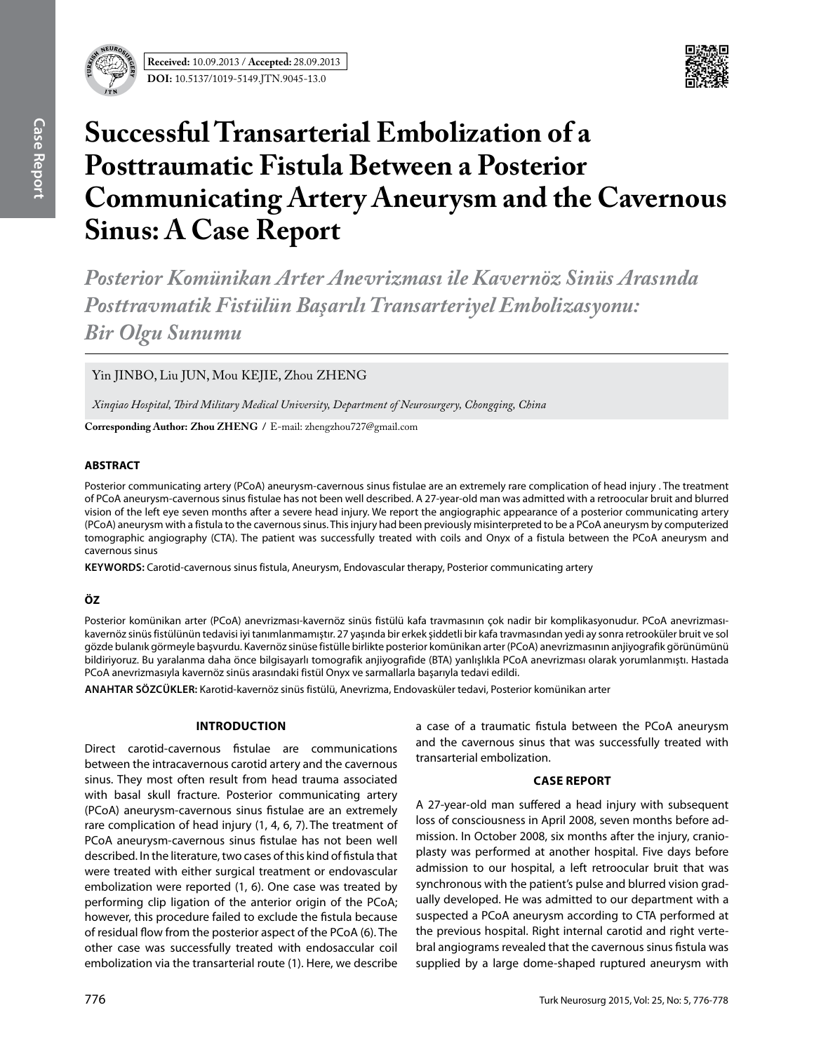



# **Successful Transarterial Embolization of a Posttraumatic Fistula Between a Posterior Communicating Artery Aneurysm and the Cavernous Sinus: A Case Report**

*Posterior Komünikan Arter Anevrizması ile Kavernöz Sinüs Arasında Posttravmatik Fistülün Başarılı Transarteriyel Embolizasyonu: Bir Olgu Sunumu*

Yin JINBO, Liu JUN, Mou KEJIE, Zhou ZHENG

*Xinqiao Hospital, Third Military Medical University, Department of Neurosurgery, Chongqing, China*

**Corresponding Author: Zhou Zheng /** E-mail: zhengzhou727@gmail.com

## **ABSTRACT**

Posterior communicating artery (PCoA) aneurysm-cavernous sinus fistulae are an extremely rare complication of head injury . The treatment of PCoA aneurysm-cavernous sinus fistulae has not been well described. A 27-year-old man was admitted with a retroocular bruit and blurred vision of the left eye seven months after a severe head injury. We report the angiographic appearance of a posterior communicating artery (PCoA) aneurysm with a fistula to the cavernous sinus. This injury had been previously misinterpreted to be a PCoA aneurysm by computerized tomographic angiography (CTA). The patient was successfully treated with coils and Onyx of a fistula between the PCoA aneurysm and cavernous sinus

**Keywords:** Carotid-cavernous sinus fistula, Aneurysm, Endovascular therapy, Posterior communicating artery

# **ÖZ**

Posterior komünikan arter (PCoA) anevrizması-kavernöz sinüs fistülü kafa travmasının çok nadir bir komplikasyonudur. PCoA anevrizmasıkavernöz sinüs fistülünün tedavisi iyi tanımlanmamıştır. 27 yaşında bir erkek şiddetli bir kafa travmasından yedi ay sonra retrooküler bruit ve sol gözde bulanık görmeyle başvurdu. Kavernöz sinüse fistülle birlikte posterior komünikan arter (PCoA) anevrizmasının anjiyografik görünümünü bildiriyoruz. Bu yaralanma daha önce bilgisayarlı tomografik anjiyografide (BTA) yanlışlıkla PCoA anevrizması olarak yorumlanmıştı. Hastada PCoA anevrizmasıyla kavernöz sinüs arasındaki fistül Onyx ve sarmallarla başarıyla tedavi edildi.

**ANAHTAR SÖZCÜKLER:** Karotid-kavernöz sinüs fistülü, Anevrizma, Endovasküler tedavi, Posterior komünikan arter

#### **Introduction**

Direct carotid-cavernous fistulae are communications between the intracavernous carotid artery and the cavernous sinus. They most often result from head trauma associated with basal skull fracture. Posterior communicating artery (PCoA) aneurysm-cavernous sinus fistulae are an extremely rare complication of head injury (1, 4, 6, 7). The treatment of PCoA aneurysm-cavernous sinus fistulae has not been well described. In the literature, two cases of this kind of fistula that were treated with either surgical treatment or endovascular embolization were reported (1, 6). One case was treated by performing clip ligation of the anterior origin of the PCoA; however, this procedure failed to exclude the fistula because of residual flow from the posterior aspect of the PCoA (6). The other case was successfully treated with endosaccular coil embolization via the transarterial route (1). Here, we describe

a case of a traumatic fistula between the PCoA aneurysm and the cavernous sinus that was successfully treated with transarterial embolization.

## **Case report**

A 27-year-old man suffered a head injury with subsequent loss of consciousness in April 2008, seven months before admission. In October 2008, six months after the injury, cranioplasty was performed at another hospital. Five days before admission to our hospital, a left retroocular bruit that was synchronous with the patient's pulse and blurred vision gradually developed. He was admitted to our department with a suspected a PCoA aneurysm according to CTA performed at the previous hospital. Right internal carotid and right vertebral angiograms revealed that the cavernous sinus fistula was supplied by a large dome-shaped ruptured aneurysm with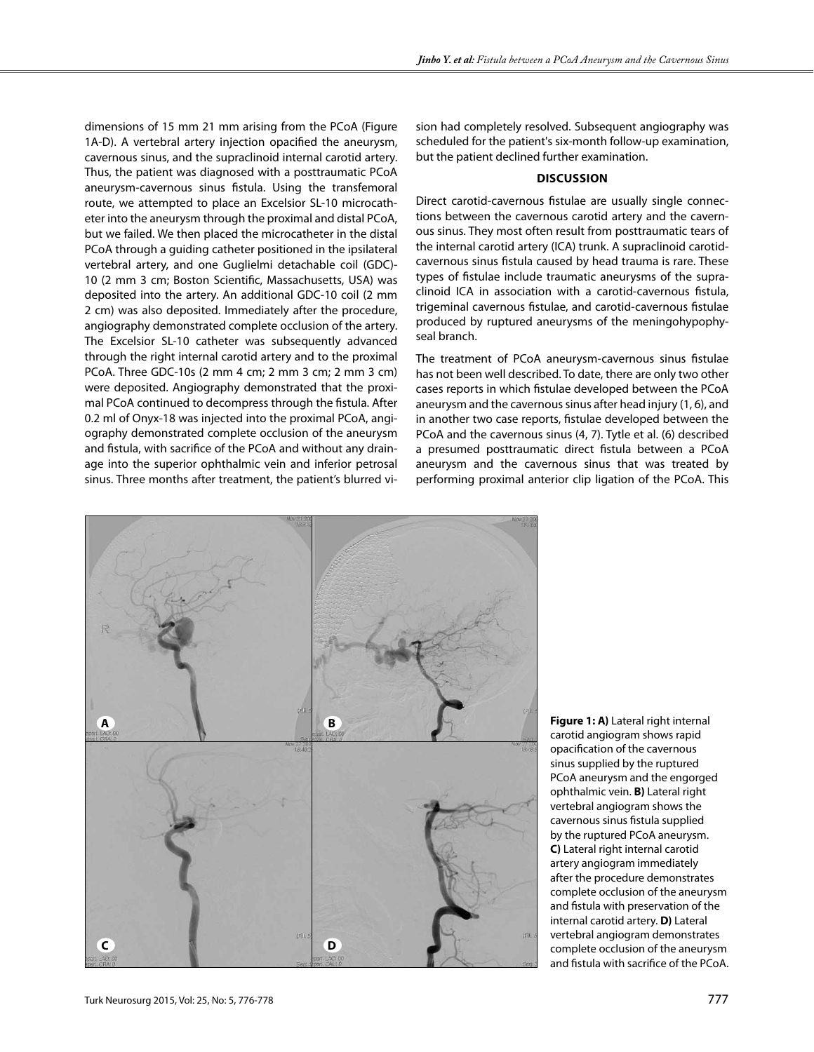dimensions of 15 mm 21 mm arising from the PCoA (Figure 1A-D). A vertebral artery injection opacified the aneurysm, cavernous sinus, and the supraclinoid internal carotid artery. Thus, the patient was diagnosed with a posttraumatic PCoA aneurysm-cavernous sinus fistula. Using the transfemoral route, we attempted to place an Excelsior SL-10 microcatheter into the aneurysm through the proximal and distal PCoA, but we failed. We then placed the microcatheter in the distal PCoA through a guiding catheter positioned in the ipsilateral vertebral artery, and one Guglielmi detachable coil (GDC)- 10 (2 mm 3 cm; Boston Scientific, Massachusetts, USA) was deposited into the artery. An additional GDC-10 coil (2 mm 2 cm) was also deposited. Immediately after the procedure, angiography demonstrated complete occlusion of the artery. The Excelsior SL-10 catheter was subsequently advanced through the right internal carotid artery and to the proximal PCoA. Three GDC-10s (2 mm 4 cm; 2 mm 3 cm; 2 mm 3 cm) were deposited. Angiography demonstrated that the proximal PCoA continued to decompress through the fistula. After 0.2 ml of Onyx-18 was injected into the proximal PCoA, angiography demonstrated complete occlusion of the aneurysm and fistula, with sacrifice of the PCoA and without any drainage into the superior ophthalmic vein and inferior petrosal sinus. Three months after treatment, the patient's blurred vi-

sion had completely resolved. Subsequent angiography was scheduled for the patient's six-month follow-up examination, but the patient declined further examination.

#### **Discussion**

Direct carotid-cavernous fistulae are usually single connections between the cavernous carotid artery and the cavernous sinus. They most often result from posttraumatic tears of the internal carotid artery (ICA) trunk. A supraclinoid carotidcavernous sinus fistula caused by head trauma is rare. These types of fistulae include traumatic aneurysms of the supraclinoid ICA in association with a carotid-cavernous fistula, trigeminal cavernous fistulae, and carotid-cavernous fistulae produced by ruptured aneurysms of the meningohypophyseal branch.

The treatment of PCoA aneurysm-cavernous sinus fistulae has not been well described. To date, there are only two other cases reports in which fistulae developed between the PCoA aneurysm and the cavernous sinus after head injury (1, 6), and in another two case reports, fistulae developed between the PCoA and the cavernous sinus (4, 7). Tytle et al. (6) described a presumed posttraumatic direct fistula between a PCoA aneurysm and the cavernous sinus that was treated by performing proximal anterior clip ligation of the PCoA. This



**Figure 1: A)** Lateral right internal carotid angiogram shows rapid opacification of the cavernous sinus supplied by the ruptured PCoA aneurysm and the engorged ophthalmic vein. **B)** Lateral right vertebral angiogram shows the cavernous sinus fistula supplied by the ruptured PCoA aneurysm. **C)** Lateral right internal carotid artery angiogram immediately after the procedure demonstrates complete occlusion of the aneurysm and fistula with preservation of the internal carotid artery. **D)** Lateral vertebral angiogram demonstrates complete occlusion of the aneurysm and fistula with sacrifice of the PCoA.